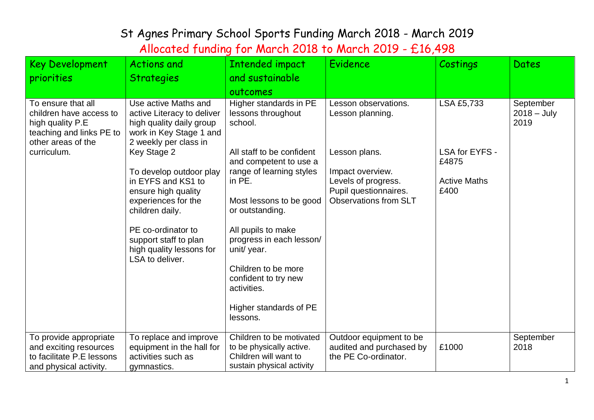Allocated funding for March 2018 to March 2019 - £16,498

| <b>Key Development</b>                                                                                                             | Actions and                                                                                                                                       | Intended impact                                                                                            | <b>Evidence</b>                                                              | Costings                     | <b>Dates</b>                       |
|------------------------------------------------------------------------------------------------------------------------------------|---------------------------------------------------------------------------------------------------------------------------------------------------|------------------------------------------------------------------------------------------------------------|------------------------------------------------------------------------------|------------------------------|------------------------------------|
|                                                                                                                                    |                                                                                                                                                   |                                                                                                            |                                                                              |                              |                                    |
| priorities                                                                                                                         | <b>Strategies</b>                                                                                                                                 | and sustainable                                                                                            |                                                                              |                              |                                    |
|                                                                                                                                    |                                                                                                                                                   | outcomes                                                                                                   |                                                                              |                              |                                    |
| To ensure that all<br>children have access to<br>high quality P.E<br>teaching and links PE to<br>other areas of the<br>curriculum. | Use active Maths and<br>active Literacy to deliver<br>high quality daily group<br>work in Key Stage 1 and<br>2 weekly per class in<br>Key Stage 2 | Higher standards in PE<br>lessons throughout<br>school.<br>All staff to be confident                       | Lesson observations.<br>Lesson planning.<br>Lesson plans.                    | LSA £5,733<br>LSA for EYFS - | September<br>$2018 - July$<br>2019 |
|                                                                                                                                    | To develop outdoor play                                                                                                                           | and competent to use a<br>range of learning styles                                                         | Impact overview.                                                             | £4875                        |                                    |
|                                                                                                                                    | in EYFS and KS1 to<br>ensure high quality<br>experiences for the                                                                                  | in PE.<br>Most lessons to be good                                                                          | Levels of progress.<br>Pupil questionnaires.<br><b>Observations from SLT</b> | <b>Active Maths</b><br>£400  |                                    |
|                                                                                                                                    | children daily.                                                                                                                                   | or outstanding.                                                                                            |                                                                              |                              |                                    |
|                                                                                                                                    | PE co-ordinator to<br>support staff to plan<br>high quality lessons for<br>LSA to deliver.                                                        | All pupils to make<br>progress in each lesson/<br>unit/ year.                                              |                                                                              |                              |                                    |
|                                                                                                                                    |                                                                                                                                                   | Children to be more<br>confident to try new<br>activities.                                                 |                                                                              |                              |                                    |
|                                                                                                                                    |                                                                                                                                                   | Higher standards of PE<br>lessons.                                                                         |                                                                              |                              |                                    |
| To provide appropriate<br>and exciting resources<br>to facilitate P.E lessons<br>and physical activity.                            | To replace and improve<br>equipment in the hall for<br>activities such as<br>gymnastics.                                                          | Children to be motivated<br>to be physically active.<br>Children will want to<br>sustain physical activity | Outdoor equipment to be<br>audited and purchased by<br>the PE Co-ordinator.  | £1000                        | September<br>2018                  |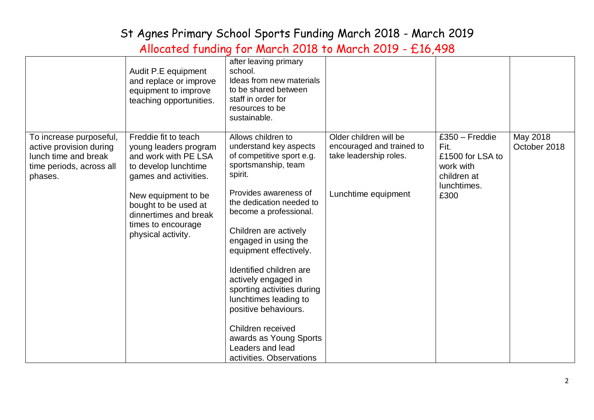Allocated funding for March 2018 to March 2019 - £16,498

|                                                                                                                   | Audit P.E equipment<br>and replace or improve<br>equipment to improve<br>teaching opportunities.                                                                                                                                           | after leaving primary<br>school.<br>Ideas from new materials<br>to be shared between<br>staff in order for<br>resources to be<br>sustainable.                                                                                                                                                                                                                                                                                                                                                         |                                                                                                      |                                                                                                 |                          |
|-------------------------------------------------------------------------------------------------------------------|--------------------------------------------------------------------------------------------------------------------------------------------------------------------------------------------------------------------------------------------|-------------------------------------------------------------------------------------------------------------------------------------------------------------------------------------------------------------------------------------------------------------------------------------------------------------------------------------------------------------------------------------------------------------------------------------------------------------------------------------------------------|------------------------------------------------------------------------------------------------------|-------------------------------------------------------------------------------------------------|--------------------------|
| To increase purposeful,<br>active provision during<br>lunch time and break<br>time periods, across all<br>phases. | Freddie fit to teach<br>young leaders program<br>and work with PE LSA<br>to develop lunchtime<br>games and activities.<br>New equipment to be<br>bought to be used at<br>dinnertimes and break<br>times to encourage<br>physical activity. | Allows children to<br>understand key aspects<br>of competitive sport e.g.<br>sportsmanship, team<br>spirit.<br>Provides awareness of<br>the dedication needed to<br>become a professional.<br>Children are actively<br>engaged in using the<br>equipment effectively.<br>Identified children are<br>actively engaged in<br>sporting activities during<br>lunchtimes leading to<br>positive behaviours.<br>Children received<br>awards as Young Sports<br>Leaders and lead<br>activities. Observations | Older children will be<br>encouraged and trained to<br>take leadership roles.<br>Lunchtime equipment | $£350 - Freddie$<br>Fit.<br>£1500 for LSA to<br>work with<br>children at<br>lunchtimes.<br>£300 | May 2018<br>October 2018 |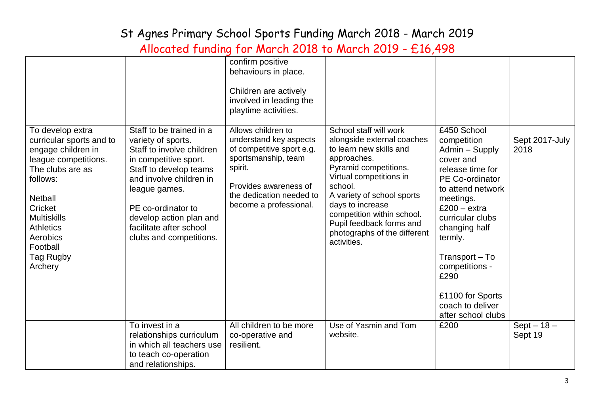Allocated funding for March 2018 to March 2019 - £16,498

|                          |                           | confirm positive                                  |                                                |                    |                |
|--------------------------|---------------------------|---------------------------------------------------|------------------------------------------------|--------------------|----------------|
|                          |                           | behaviours in place.                              |                                                |                    |                |
|                          |                           |                                                   |                                                |                    |                |
|                          |                           | Children are actively                             |                                                |                    |                |
|                          |                           | involved in leading the                           |                                                |                    |                |
|                          |                           | playtime activities.                              |                                                |                    |                |
|                          |                           |                                                   |                                                |                    |                |
| To develop extra         | Staff to be trained in a  | Allows children to                                | School staff will work                         | £450 School        |                |
| curricular sports and to | variety of sports.        | understand key aspects                            | alongside external coaches                     | competition        | Sept 2017-July |
| engage children in       | Staff to involve children | of competitive sport e.g.                         | to learn new skills and                        | Admin - Supply     | 2018           |
| league competitions.     | in competitive sport.     | sportsmanship, team                               | approaches.                                    | cover and          |                |
| The clubs are as         | Staff to develop teams    | spirit.                                           | Pyramid competitions.                          | release time for   |                |
| follows:                 | and involve children in   |                                                   | Virtual competitions in                        | PE Co-ordinator    |                |
|                          | league games.             | Provides awareness of<br>the dedication needed to | school.                                        | to attend network  |                |
| <b>Netball</b>           |                           | become a professional.                            | A variety of school sports<br>days to increase | meetings.          |                |
| Cricket                  | PE co-ordinator to        |                                                   | competition within school.                     | $£200 - extra$     |                |
| <b>Multiskills</b>       | develop action plan and   |                                                   | Pupil feedback forms and                       | curricular clubs   |                |
| <b>Athletics</b>         | facilitate after school   |                                                   | photographs of the different                   | changing half      |                |
| Aerobics                 | clubs and competitions.   |                                                   | activities.                                    | termly.            |                |
| Football                 |                           |                                                   |                                                |                    |                |
| Tag Rugby                |                           |                                                   |                                                | Transport - To     |                |
| Archery                  |                           |                                                   |                                                | competitions -     |                |
|                          |                           |                                                   |                                                | £290               |                |
|                          |                           |                                                   |                                                | £1100 for Sports   |                |
|                          |                           |                                                   |                                                | coach to deliver   |                |
|                          |                           |                                                   |                                                | after school clubs |                |
|                          | To invest in a            | All children to be more                           | Use of Yasmin and Tom                          | £200               | $Sept - 18 -$  |
|                          | relationships curriculum  | co-operative and                                  | website.                                       |                    | Sept 19        |
|                          | in which all teachers use | resilient.                                        |                                                |                    |                |
|                          | to teach co-operation     |                                                   |                                                |                    |                |
|                          | and relationships.        |                                                   |                                                |                    |                |